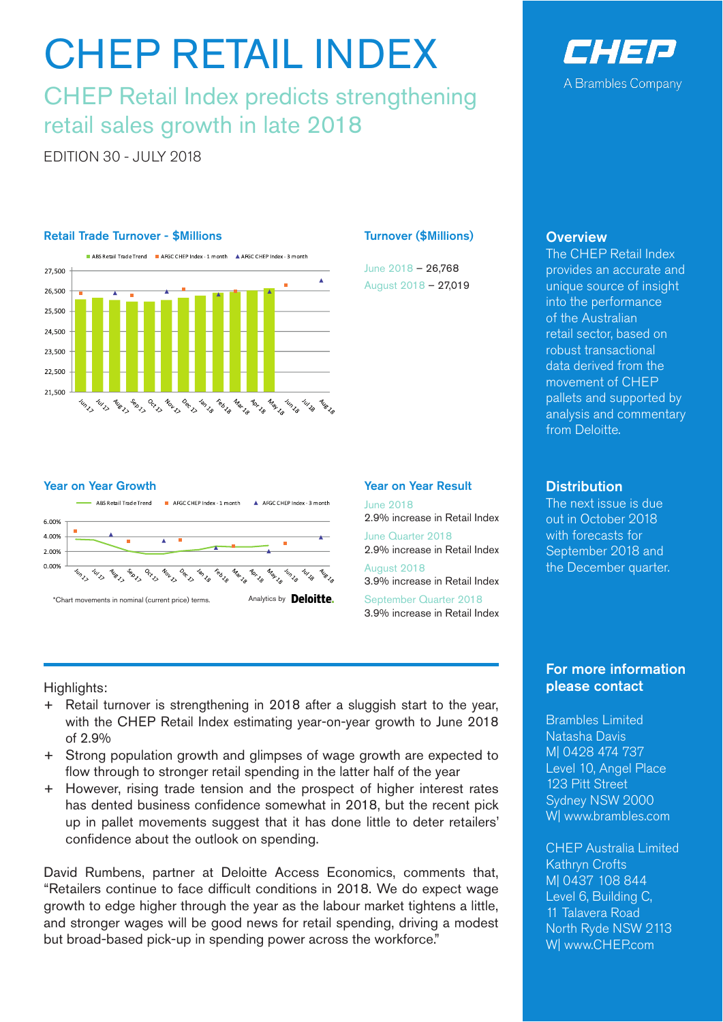# CHEP RETAIL INDEX

CHEP Retail Index predicts strengthening retail sales growth in late 2018

EDITION 30 - JULY 2018

### Retail Trade Turnover - \$Millions



### Year on Year Growth



## Turnover (\$Millions)

June 2018 – 26,768 August 2018 – 27,019

#### Year on Year Result

June 2018 2.9% increase in Retail Index

June Quarter 2018 2.9% increase in Retail Index

August 2018 3.9% increase in Retail Index September Quarter 2018 3.9% increase in Retail Index

Highlights:

- Retail turnover is strengthening in 2018 after a sluggish start to the year, with the CHEP Retail Index estimating year-on-year growth to June 2018 of 2.9%
- + Strong population growth and glimpses of wage growth are expected to flow through to stronger retail spending in the latter half of the year
- + However, rising trade tension and the prospect of higher interest rates has dented business confidence somewhat in 2018, but the recent pick up in pallet movements suggest that it has done little to deter retailers' confidence about the outlook on spending.

David Rumbens, partner at Deloitte Access Economics, comments that, "Retailers continue to face difficult conditions in 2018. We do expect wage growth to edge higher through the year as the labour market tightens a little, and stronger wages will be good news for retail spending, driving a modest but broad-based pick-up in spending power across the workforce."



# **Overview**

The CHEP Retail Index provides an accurate and unique source of insight into the performance of the Australian retail sector, based on robust transactional data derived from the movement of CHEP pallets and supported by analysis and commentary from Deloitte.

# **Distribution**

The next issue is due out in October 2018 with forecasts for September 2018 and the December quarter.

# For more information please contact

Brambles Limited Natasha Davis M| 0428 474 737 Level 10, Angel Place 123 Pitt Street Sydney NSW 2000 W| www.brambles.com

CHEP Australia Limited Kathryn Crofts M| 0437 108 844 Level 6, Building C, 11 Talavera Road North Ryde NSW 2113 W| www.CHEP.com